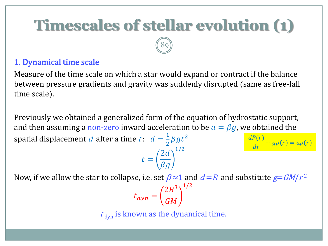# **Timescales of stellar evolution (1)**

89

#### 1. Dynamical time scale

Measure of the time scale on which a star would expand or contract if the balance between pressure gradients and gravity was suddenly disrupted (same as free-fall time scale).

Previously we obtained a generalized form of the equation of hydrostatic support, and then assuming a non-zero inward acceleration to be  $a = \beta g$ , we obtained the spatial displacement d after a time  $t: d = \frac{1}{2}$  $\frac{1}{2}\beta gt^2$ 1/2  $dP(r)$ 

$$
t = \left(\frac{2d}{\beta g}\right)^{1}
$$

 $\frac{\partial}{\partial r} + g\rho(r) = a\rho(r)$ 

Now, if we allow the star to collapse, i.e. set  $\beta \approx 1$  and  $d=R$  and substitute  $g=G M/r^2$ 

$$
t_{dyn} = \left(\frac{2R^3}{GM}\right)^{1/2}
$$

 $t_{\text{dyn}}$  is known as the dynamical time.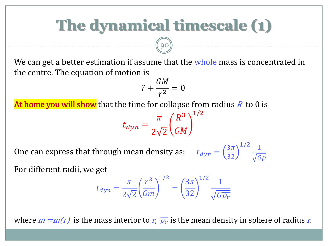# **The dynamical timescale (1)**

We can get a better estimation if assume that the whole mass is concentrated in the centre. The equation of motion is

$$
\ddot{r} + \frac{GM}{r^2} = 0
$$

At home you will show that the time for collapse from radius  $R$  to 0 is

90

$$
t_{dyn} = \frac{\pi}{2\sqrt{2}} \left(\frac{R^3}{GM}\right)^{1/2}
$$

One can express that through mean density as:

 $3\pi$ 32  $1/2$  1

 $G\overline{\rho}$ 

For different radii, we get

$$
t_{dyn} = \frac{\pi}{2\sqrt{2}} \left(\frac{r^3}{Gm}\right)^{1/2} = \left(\frac{3\pi}{32}\right)^{1/2} \frac{1}{\sqrt{G\overline{\rho_r}}}
$$

where  $m= m(r)$  is the mass interior to  $r, \ \overline{\rho_r}$  is the mean density in sphere of radius  $r.$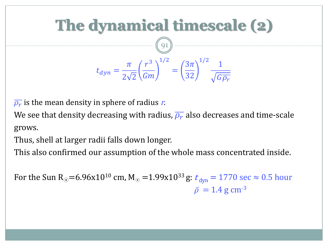

 $\overline{\rho_r}$  is the mean density in sphere of radius  $r$ .

We see that density decreasing with radius,  $\overline{\rho_r}$  also decreases and time-scale grows.

Thus, shell at larger radii falls down longer.

This also confirmed our assumption of the whole mass concentrated inside.

For the Sun R<sub>o</sub>=6.96x10<sup>10</sup> cm, M<sub>o</sub> =1.99x10<sup>33</sup> g:  $t_{dyn} = 1770$  sec  $\approx 0.5$  hour  $\bar{\rho} = 1.4 \text{ g cm}^{-3}$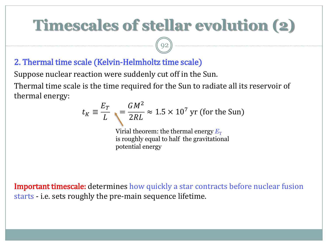# **Timescales of stellar evolution (2)**

92

#### 2. Thermal time scale (Kelvin-Helmholtz time scale)

Suppose nuclear reaction were suddenly cut off in the Sun. Thermal time scale is the time required for the Sun to radiate all its reservoir of thermal energy:

$$
t_K \equiv \frac{E_T}{L} = \frac{GM^2}{2RL} \approx 1.5 \times 10^7 \text{ yr (for the Sun)}
$$

Virial theorem: the thermal energy  $E_T$ is roughly equal to half the gravitational potential energy

**Important timescale:** determines how quickly a star contracts before nuclear fusion starts - i.e. sets roughly the pre-main sequence lifetime.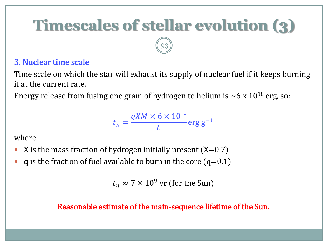# **Timescales of stellar evolution (3)**

93

#### 3. Nuclear time scale

Time scale on which the star will exhaust its supply of nuclear fuel if it keeps burning it at the current rate.

Energy release from fusing one gram of hydrogen to helium is  $\sim$  6 x 10<sup>18</sup> erg, so:

$$
t_n = \frac{qXM \times 6 \times 10^{18}}{L} \text{erg g}^{-1}
$$

where

- X is the mass fraction of hydrogen initially present  $(X=0.7)$
- q is the fraction of fuel available to burn in the core  $(q=0.1)$

 $t_n \approx 7 \times 10^9$  yr (for the Sun)

#### Reasonable estimate of the main-sequence lifetime of the Sun.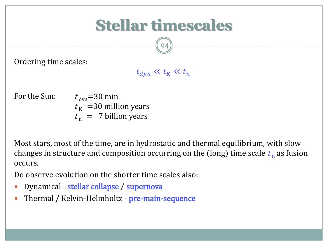## **Stellar timescales**

94

Ordering time scales:

#### $t_{dyn} \ll t_K \ll t_n$

For the Sun:

 $t_{\text{dyn}}$ =30 min  $t_{\rm K}$  =30 million years  $t_n$  = 7 billion years

Most stars, most of the time, are in hydrostatic and thermal equilibrium, with slow changes in structure and composition occurring on the (long) time scale  $t_{\rm n}$  as fusion occurs.

Do observe evolution on the shorter time scales also:

- Dynamical stellar collapse / supernova
- Thermal / Kelvin-Helmholtz pre-main-sequence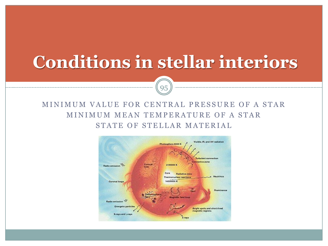# **Conditions in stellar interiors**

#### MINIMUM VALUE FOR CENTRAL PRESSURE OF A STAR MINIMUM MEAN TEMPERATURE OF A STAR STATE OF STELLAR MATERIAL

95

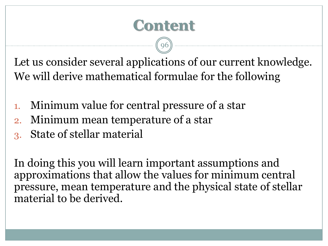## **Content**

96

Let us consider several applications of our current knowledge. We will derive mathematical formulae for the following

- 1. Minimum value for central pressure of a star
- 2. Minimum mean temperature of a star
- 3. State of stellar material

In doing this you will learn important assumptions and approximations that allow the values for minimum central pressure, mean temperature and the physical state of stellar material to be derived.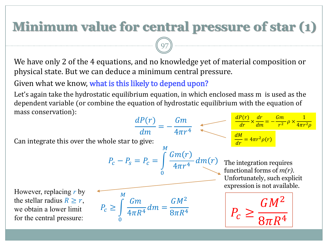## **Minimum value for central pressure of star (1)**

We have only 2 of the 4 equations, and no knowledge yet of material composition or physical state. But we can deduce a minimum central pressure.

97

Given what we know, what is this likely to depend upon?

Let's again take the hydrostatic equilibrium equation, in which enclosed mass m is used as the dependent variable (or combine the equation of hydrostatic equilibrium with the equation of mass conservation):  $JDC<sub>2</sub>$ <mark>dP(r) dr Gm</mark> 1

Can integrate this over the whole star to give:  
\n
$$
P_c - P_s = P_c = \int_{0}^{M} \frac{Gm(r)}{4\pi r^4} dm(r)
$$
\nThe integration requires function is not available.  
\nThe stellar radius  $R \ge r$ , we obtain a lower limit for the central pressure:  
\n
$$
P_c \ge \int_{0}^{M} \frac{Gm}{4\pi R^4} dm = \frac{GM^2}{8\pi R^4}
$$
\n
$$
P_c \ge \int_{0}^{M} \frac{Gm}{4\pi R^4} dm = \frac{GM^2}{8\pi R^4}
$$
\n
$$
P_c \ge \int_{0}^{M} \frac{Gm}{4\pi R^4} dm = \frac{GM^2}{8\pi R^4}
$$
\n
$$
P_c \ge \int_{0}^{M} \frac{Gm}{4\pi R^4} dm = \frac{GM^2}{8\pi R^4}
$$
\n
$$
P_c \ge \frac{GM^2}{8\pi R^4}
$$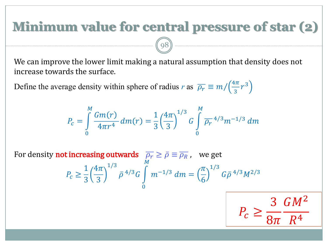## **Minimum value for central pressure of star (2)**

We can improve the lower limit making a natural assumption that density does not increase towards the surface.

Define the average density within sphere of radius *r* as  $\overline{\rho_r} \equiv m / (\frac{4\pi}{3})$  $rac{\pi}{3}r^3$ 

(98)

$$
P_c = \int_0^M \frac{Gm(r)}{4\pi r^4} dm(r) = \frac{1}{3} \left(\frac{4\pi}{3}\right)^{1/3} G \int_0^M \overline{\rho_r}^{4/3} m^{-1/3} dm
$$

For density **not increasing outwards**  $\overline{\rho_r}\geq \bar{\rho}\equiv \overline{\rho_R}$  , we get  $P_c \geq$ 1 3  $4\pi$ 3 1/3  $\bar{\rho}$ <sup>4/3</sup>G 0  $\boldsymbol{M}$  $m^{-1/3}$   $dm =$  $\pi$ 6 1/3  $G\bar{\rho}$ <sup>4/3</sup> $M^{2/3}$ 

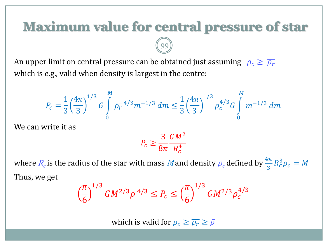#### **Maximum value for central pressure of star**

An upper limit on central pressure can be obtained just assuming  $\rho_c \ge \overline{\rho_r}$ which is e.g., valid when density is largest in the centre:

99

$$
P_c = \frac{1}{3} \left(\frac{4\pi}{3}\right)^{1/3} G \int\limits_0^M \overline{\rho_r} \, 4/3 m^{-1/3} \, dm \leq \frac{1}{3} \left(\frac{4\pi}{3}\right)^{1/3} \rho_c^{4/3} G \int\limits_0^M m^{-1/3} \, dm
$$

We can write it as

$$
P_c \ge \frac{3}{8\pi} \frac{GM^2}{R_c^4}
$$

where  $R_c$  is the radius of the star with mass Mand density  $\rho_c$  defined by  $\frac{4\pi}{3}R_c^3\rho_c=M$ Thus, we get

$$
\left(\frac{\pi}{6}\right)^{1/3} G M^{2/3} \bar{\rho}^{4/3} \le P_c \le \left(\frac{\pi}{6}\right)^{1/3} G M^{2/3} \rho_c^{4/3}
$$

which is valid for  $\rho_c \ge \overline{\rho_r} \ge \overline{\rho}$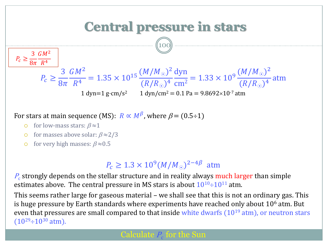

For stars at main sequence (MS):  $R \propto M^{\beta}$ , where  $\beta = (0.5 \div 1)$ 

- o for low-mass stars:  $\beta \approx 1$
- o for masses above solar:  $\beta \approx 2/3$
- o for very high masses:  $\beta \approx 0.5$

#### $P_c \geq 1.3 \times 10^9 (M/M_{\odot})^{2-4\beta}$  atm

 $P_{\rm c}$  strongly depends on the stellar structure and in reality always  ${\rm much\ larger\ than\ simple}$ estimates above. The central pressure in MS stars is about  $10^{10}$ ÷ $10^{11}$  atm.

This seems rather large for gaseous material – we shall see that this is not an ordinary gas. This is huge pressure by Earth standards where experiments have reached only about  $10<sup>6</sup>$  atm. But even that pressures are small compared to that inside white dwarfs  $(10^{19} \text{ atm})$ , or neutron stars  $(10^{29} \div 10^{30})$  atm).

#### Calculate  $P_c$  for the Sun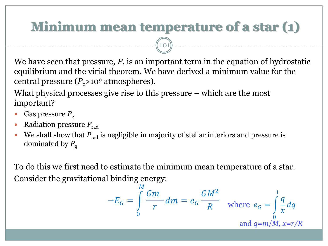## **Minimum mean temperature of a star (1)**

101

We have seen that pressure, *P*, is an important term in the equation of hydrostatic equilibrium and the virial theorem. We have derived a minimum value for the central pressure  $(P_c>10^9 \text{ atmospheres}).$ 

What physical processes give rise to this pressure – which are the most important?

- Gas pressure *P*<sup>g</sup>
- Radiation pressure *P*rad
- We shall show that  $P_{rad}$  is negligible in majority of stellar interiors and pressure is dominated by  $P_g$

To do this we first need to estimate the minimum mean temperature of a star. Consider the gravitational binding energy:

$$
-E_G = \int_0^M \frac{Gm}{r} dm = e_G \frac{GM^2}{R} \quad \text{where } e_G = \int_0^1 \frac{q}{x} dq
$$
  
and  $q=m/M, x=r/R$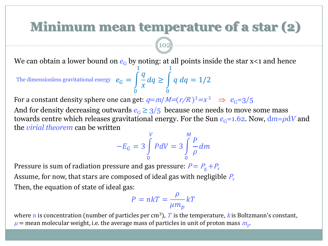### **Minimum mean temperature of a star (2)**

We can obtain a lower bound on  $e_G$  by noting: at all points inside the star  $x < 1$  and hence

 $e_G =$ 0 1  $\overline{q}$  $\chi$  $dq \geq |$ 0 1 The dimensionless gravitational energy  $e_G = \int \frac{1}{a} dq \geq \int q \ dq = 1/2$ 

For a constant density sphere one can get:  $q=m/M=(r/R)^3 = x^3 \Rightarrow e_G=3/5$ 

102

And for density decreasing outwards  $e_G \geq 3/5$  because one needs to move some mass towards centre which releases gravitational energy. For the Sun  $e_G$ =1.62. Now,  $dm = \rho dV$  and the *virial theorem* can be written

$$
-E_G = 3 \int\limits_0^V P dV = 3 \int\limits_0^M \frac{P}{\rho} dm
$$

Pressure is sum of radiation pressure and gas pressure:  $P = P_{\rm g} + P_{\rm r}$ Assume, for now, that stars are composed of ideal gas with negligible  $P_r$ Then, the equation of state of ideal gas:

$$
P = nkT = \frac{\rho}{\mu m_p} kT
$$

where n is concentration (number of particles per cm<sup>3</sup>), T is the temperature, k is Boltzmann's constant,  $\mu$  = mean molecular weight, i.e. the average mass of particles in unit of proton mass  $m_{\rm p}$ .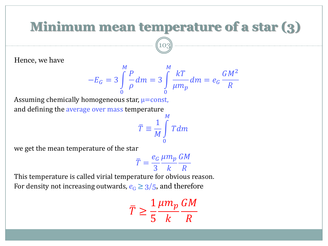### **Minimum mean temperature of a star (3)**

10<sup>'</sup>

Hence, we have

$$
-E_G = 3\int\limits_0^M \frac{P}{\rho} dm = 3\int\limits_0^M \frac{kT}{\mu m_p} dm = e_G \frac{GM^2}{R}
$$

Assuming chemically homogeneous star,  $\mu$ =const, and defining the average over mass temperature

$$
\bar{T} \equiv \frac{1}{M} \int\limits_{0}^{M} T dm
$$

we get the mean temperature of the star

$$
\bar{T} = \frac{e_G}{3} \frac{\mu m_p}{k} \frac{GM}{R}
$$

This temperature is called virial temperature for obvious reason. For density not increasing outwards,  $e_G \geq 3/5$ , and therefore

$$
\overline{T} \ge \frac{1}{5} \frac{\mu m_p}{k} \frac{GM}{R}
$$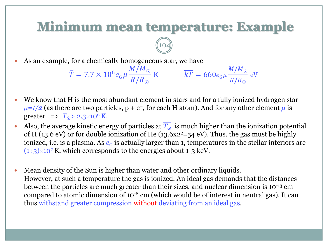#### **Minimum mean temperature: Example**

K  $kT = 660e_G\mu$ 

 $M/M_{\odot}$ 

eV

 $R/R$   $_{\odot}$ 

 As an example, for a chemically homogeneous star, we have  $M/M$   $_{\odot}$ 

 $\bar{T} = 7.7 \times 10^6 e_G \mu$ 

 $(104)$  -

 $R/R_{\odot}$ 

 We know that H is the most abundant element in stars and for a fully ionized hydrogen star  $\mu = 1/2$  (as there are two particles,  $p + e^{-}$ , for each H atom). And for any other element  $\mu$  is greater  $\Rightarrow$   $T_0$  > 2.3×10<sup>6</sup> K.

- Also, the average kinetic energy of particles at  $\overline{T_{\odot}}$  is much higher than the ionization potential of H (13.6 eV) or for double ionization of He (13.6x2<sup>2</sup>=54 eV). Thus, the gas must be highly ionized, i.e. is a plasma. As  $e_G$  is actually larger than 1, temperatures in the stellar interiors are  $(1\div 3)\times 10^7$  K, which corresponds to the energies about 1-3 keV.
- Mean density of the Sun is higher than water and other ordinary liquids. However, at such a temperature the gas is ionized. An ideal gas demands that the distances between the particles are much greater than their sizes, and nuclear dimension is 10-13 cm compared to atomic dimension of  $10^{-8}$  cm (which would be of interest in neutral gas). It can thus withstand greater compression without deviating from an ideal gas.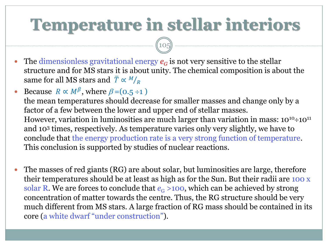# **Temperature in stellar interiors**

 $(105$ 

- The dimensionless gravitational energy  $e_G$  is not very sensitive to the stellar structure and for MS stars it is about unity. The chemical composition is about the same for all MS stars and  $\overline{T} \propto M/_{R}$
- Because  $R \propto M^{\beta}$ , where  $\beta = (0.5 \div 1)$ the mean temperatures should decrease for smaller masses and change only by a factor of a few between the lower and upper end of stellar masses. However, variation in luminosities are much larger than variation in mass:  $10^{10} \div 10^{11}$ and 10<sup>3</sup> times, respectively. As temperature varies only very slightly, we have to conclude that the energy production rate is a very strong function of temperature. This conclusion is supported by studies of nuclear reactions.
- The masses of red giants (RG) are about solar, but luminosities are large, therefore their temperatures should be at least as high as for the Sun. But their radii are 100 x solar R. We are forces to conclude that  $e_G > 100$ , which can be achieved by strong concentration of matter towards the centre. Thus, the RG structure should be very much different from MS stars. A large fraction of RG mass should be contained in its core (a white dwarf "under construction").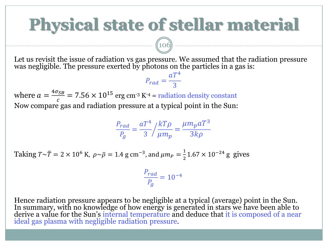# **Physical state of stellar material**

Let us revisit the issue of radiation vs gas pressure. We assumed that the radiation pressure was negligible. The pressure exerted by photons on the particles in a gas is:  $aT^4$ 

 $P_{rad} =$ 

3 where  $a = \frac{4 \sigma_{SB}}{a}$  $\frac{\sigma_{SB}}{c}$  = 7.56 × 10<sup>15</sup> erg cm<sup>-3</sup> K<sup>-4</sup> = radiation density constant Now compare gas and radiation pressure at a typical point in the Sun:

106

$$
\frac{P_{rad}}{P_g} = \frac{aT^4}{3} / \frac{kT\rho}{\mu m_p} = \frac{\mu m_p aT^3}{3k\rho}
$$

Taking  $T \sim \overline{T} = 2 \times 10^6$  K,  $\rho \sim \overline{\rho} = 1.4$  g cm<sup>-3</sup>, and  $\mu m_P = \frac{1}{2}$  $\frac{1}{2}$ 1.67 × 10<sup>-24</sup> g gives

$$
\frac{P_{rad}}{P_g} = 10^{-4}
$$

Hence radiation pressure appears to be negligible at a typical (average) point in the Sun. In summary, with no knowledge of how energy is generated in stars we have been able to derive a value for the Sun's internal temperature and deduce that it is composed of a near ideal gas plasma with negligible radiation pressure.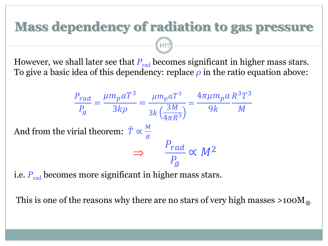## **Mass dependency of radiation to gas pressure**

However, we shall later see that  $P_{rad}$  becomes significant in higher mass stars. To give a basic idea of this dependency: replace *ρ* in the ratio equation above:

$$
\frac{P_{rad}}{P_g} = \frac{\mu m_p a T^3}{3k\rho} = \frac{\mu m_p a T^3}{3k \left(\frac{3M}{4\pi R^3}\right)} = \frac{4\pi \mu m_p a R^3 T^3}{9k}
$$
  
And from the virial theorem:  $\overline{T} \propto \frac{M}{R}$   
 $\Rightarrow \frac{P_{rad}}{P_g} \propto M^2$ 

107

i.e.  $P_{rad}$  becomes more significant in higher mass stars.

This is one of the reasons why there are no stars of very high masses  $>100M_{\odot}$